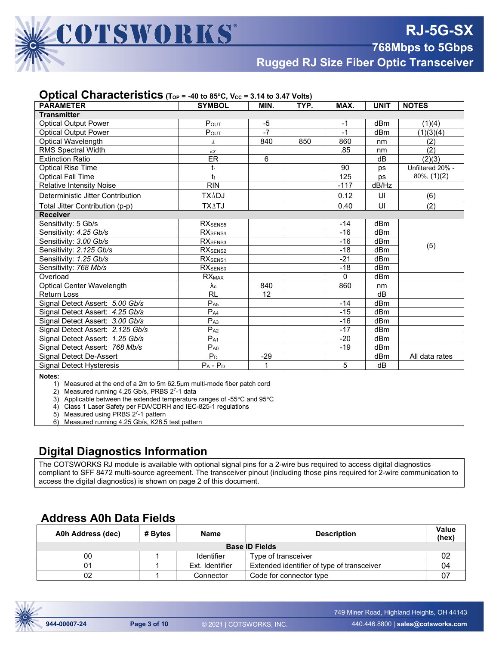**Rugged RJ Size Fiber Optic Transceiver**

#### **Optical Characteristics**  $(T_{OP} = -40 \text{ to } 85^{\circ} \text{C}, V_{CC} = 3.14 \text{ to } 3.47 \text{ Volts})$

| $\blacksquare$<br><b>PARAMETER</b> | <b>SYMBOL</b>            | MIN.  | - 1<br>TYP. | MAX.           | <b>UNIT</b>     | <b>NOTES</b>     |  |
|------------------------------------|--------------------------|-------|-------------|----------------|-----------------|------------------|--|
| <b>Transmitter</b>                 |                          |       |             |                |                 |                  |  |
| <b>Optical Output Power</b>        | $P_{OUT}$                | -5    |             | $-1$           | dBm             | (1)(4)           |  |
| <b>Optical Output Power</b>        | POUT                     | $-7$  |             | $-1$           | dBm             | (1)(3)(4)        |  |
| Optical Wavelength                 | λ                        | 840   | 850         | 860            | nm              | (2)              |  |
| RMS Spectral Width                 | $\sigma$                 |       |             | .85            | nm              | (2)              |  |
| <b>Extinction Ratio</b>            | ER                       | 6     |             |                | dB              | (2)(3)           |  |
| <b>Optical Rise Time</b>           | tr                       |       |             | 90             | ps              | Unfiltered 20% - |  |
| <b>Optical Fall Time</b>           | tŧ                       |       |             | 125            | ps              | $80\%, (1)(2)$   |  |
| <b>Relative Intensity Noise</b>    | <b>RIN</b>               |       |             | $-117$         | dB/Hz           |                  |  |
| Deterministic Jitter Contribution  | <b>TXADJ</b>             |       |             | 0.12           | UI              | (6)              |  |
| Total Jitter Contribution (p-p)    | <b>TXATJ</b>             |       |             | 0.40           | UI              | (2)              |  |
| <b>Receiver</b>                    |                          |       |             |                |                 |                  |  |
| Sensitivity: 5 Gb/s                | RX <sub>SENS5</sub>      |       |             | $-14$          | dB <sub>m</sub> |                  |  |
| Sensitivity: 4.25 Gb/s             | RX <sub>SENS4</sub>      |       |             | $-16$          | dBm             |                  |  |
| Sensitivity: 3.00 Gb/s             | RX <sub>SENS3</sub>      |       |             | $-16$          | dBm             | (5)              |  |
| Sensitivity: 2.125 Gb/s            | RX <sub>SENS2</sub>      |       |             | $-18$          | dBm             |                  |  |
| Sensitivity: 1.25 Gb/s             | RX <sub>SENS1</sub>      |       |             | $-21$          | dBm             |                  |  |
| Sensitivity: 768 Mb/s              | <b>RXSENSO</b>           |       |             | $-18$          | dB <sub>m</sub> |                  |  |
| Overload                           | <b>RX</b> <sub>MAX</sub> |       |             | $\Omega$       | dBm             |                  |  |
| Optical Center Wavelength          | $\lambda_c$              | 840   |             | 860            | nm              |                  |  |
| <b>Return Loss</b>                 | <b>RL</b>                | 12    |             |                | dB              |                  |  |
| Signal Detect Assert: 5.00 Gb/s    | $P_{A5}$                 |       |             | $-14$          | dBm             |                  |  |
| Signal Detect Assert: 4.25 Gb/s    | $P_{A4}$                 |       |             | $-15$          | dBm             |                  |  |
| Signal Detect Assert: 3.00 Gb/s    | P <sub>A3</sub>          |       |             | $-16$          | dB <sub>m</sub> |                  |  |
| Signal Detect Assert: 2.125 Gb/s   | $P_{A2}$                 |       |             | $-17$          | dBm             |                  |  |
| Signal Detect Assert: 1.25 Gb/s    | $P_{A1}$                 |       |             | $-20$          | dBm             |                  |  |
| Signal Detect Assert: 768 Mb/s     | $P_{A0}$                 |       |             | $-19$          | dBm             |                  |  |
| Signal Detect De-Assert            | $P_D$                    | $-29$ |             |                | dBm             | All data rates   |  |
| <b>Signal Detect Hysteresis</b>    | $P_A - P_D$              | 1     |             | $\overline{5}$ | dB              |                  |  |
| Notes:                             |                          |       |             |                |                 |                  |  |

 Measured at the end of a 2m to 5m 62.5µm multi-mode fiber patch cord

□ Measured running 4.25 Gb/s, PRBS 2<sup>7</sup>-1 data

□ Applicable between the extended temperature ranges of -55°CWR& and &WR□ 95°C

□ Class 1 Laser Safety per FDA/CDRH and IEC-825-1 regulations

□ Measured using PRBS 2<sup>7</sup>-1 pattern

□ Measured running 4.25 Gb/s, K28.5 test pattern

#### **Digital Diagnostics Information**

The COTSWORKS RJ module is available with optional signal pins for a 2-wire bus required to access digital diagnostics compliant to SFF 8472 multi-source agreement. The transceiver pinout (including those pins required for 2-wire communication to access the digital diagnostics) is shown on page 2 of this document.

#### **Address A0h Data Fields**

| A0h Address (dec)     | # Bvtes | <b>Name</b>     | <b>Description</b>                         | Value<br>(hex) |  |  |  |
|-----------------------|---------|-----------------|--------------------------------------------|----------------|--|--|--|
| <b>Base ID Fields</b> |         |                 |                                            |                |  |  |  |
| 00                    |         | Identifier      | Type of transceiver                        |                |  |  |  |
|                       |         | Ext. Identifier | Extended identifier of type of transceiver | J4             |  |  |  |
| 02                    |         | Connector       | Code for connector type                    |                |  |  |  |

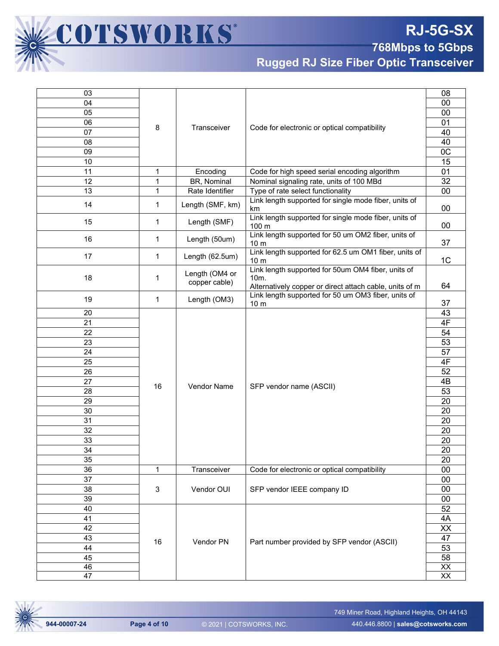# **RJ-5G-SX**

**768Mbps to 5Gbps** 

**Rugged RJ Size Fiber Optic Transceiver**

| 03       |              |                                 |                                                                                                                                    | 08              |
|----------|--------------|---------------------------------|------------------------------------------------------------------------------------------------------------------------------------|-----------------|
| 04       |              |                                 |                                                                                                                                    | 00              |
| 05       |              |                                 |                                                                                                                                    | 00              |
| 06       | 8            | Transceiver                     | Code for electronic or optical compatibility                                                                                       | 01              |
| 07       |              |                                 |                                                                                                                                    | 40              |
| 08       |              |                                 |                                                                                                                                    | 40              |
| 09       |              |                                 |                                                                                                                                    | 0 <sup>C</sup>  |
| 10       |              |                                 |                                                                                                                                    | $\overline{15}$ |
| 11       | 1            | Encoding                        | Code for high speed serial encoding algorithm                                                                                      | $\overline{01}$ |
| 12       | 1            | BR, Nominal                     | Nominal signaling rate, units of 100 MBd                                                                                           | $\overline{32}$ |
| 13       | 1            | Rate Identifier                 | Type of rate select functionality                                                                                                  | $\overline{00}$ |
| 14       | $\mathbf{1}$ | Length (SMF, km)                | Link length supported for single mode fiber, units of<br>km                                                                        | $00\,$          |
| 15       | 1            | Length (SMF)                    | Link length supported for single mode fiber, units of<br>100 m                                                                     | $00\,$          |
| 16       | 1            | Length (50um)                   | Link length supported for 50 um OM2 fiber, units of<br>10 <sub>m</sub>                                                             | 37              |
| 17       | 1            | Length (62.5um)                 | Link length supported for 62.5 um OM1 fiber, units of<br>10 <sub>m</sub>                                                           | 1 <sub>C</sub>  |
| 18       | $\mathbf{1}$ | Length (OM4 or<br>copper cable) | Link length supported for 50um OM4 fiber, units of<br>10 <sub>m</sub> .<br>Alternatively copper or direct attach cable, units of m | 64              |
| 19       | 1            | Length (OM3)                    | Link length supported for 50 um OM3 fiber, units of                                                                                |                 |
| 20       |              |                                 | 10 <sub>m</sub>                                                                                                                    | 37<br>43        |
|          |              |                                 |                                                                                                                                    | 4F              |
| 21       |              |                                 |                                                                                                                                    | 54              |
| 23       | 22           |                                 |                                                                                                                                    | 53              |
| 24       |              |                                 |                                                                                                                                    | 57              |
| 25       |              |                                 |                                                                                                                                    | 4F              |
|          |              |                                 |                                                                                                                                    | 52              |
| 26<br>27 |              |                                 |                                                                                                                                    | 4B              |
| 28       | 16           | <b>Vendor Name</b>              | SFP vendor name (ASCII)                                                                                                            | 53              |
| 29       |              |                                 |                                                                                                                                    | 20              |
|          |              |                                 |                                                                                                                                    | 20              |
| 30       |              |                                 |                                                                                                                                    |                 |
| 31       |              |                                 |                                                                                                                                    | 20              |
| 32       |              |                                 |                                                                                                                                    | 20              |
| 33       |              |                                 |                                                                                                                                    | 20              |
| 34       |              |                                 |                                                                                                                                    | 20              |
| 35       |              |                                 |                                                                                                                                    | 20              |
| 36       | 1            | Transceiver                     | Code for electronic or optical compatibility                                                                                       | 00              |
| 37       |              |                                 |                                                                                                                                    | 00              |
| 38       | $\mathbf{3}$ | Vendor OUI                      | SFP vendor IEEE company ID                                                                                                         | 00              |
| 39       |              |                                 |                                                                                                                                    | 00              |
| 40       |              |                                 |                                                                                                                                    | 52              |
| 41       |              |                                 |                                                                                                                                    | 4A              |
| 42       |              |                                 |                                                                                                                                    | XX<br>47        |
| 43       | 16           | Vendor PN                       | Part number provided by SFP vendor (ASCII)                                                                                         |                 |
| 44       |              |                                 | 53<br>58                                                                                                                           |                 |
| 45       |              |                                 |                                                                                                                                    |                 |
| 46       |              |                                 |                                                                                                                                    |                 |
| 47       |              |                                 |                                                                                                                                    | $\overline{XX}$ |



COTSWORKS®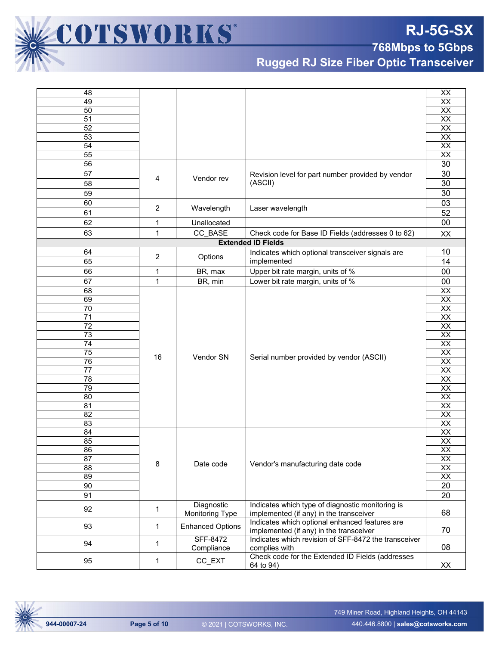

**Rugged RJ Size Fiber Optic Transceiver**

| 48              |                |                         |                                                      | XX              |  |
|-----------------|----------------|-------------------------|------------------------------------------------------|-----------------|--|
| 49              |                |                         |                                                      | XX              |  |
| 50              |                |                         |                                                      | XX              |  |
| 51              |                |                         |                                                      | XX              |  |
| 52              |                |                         |                                                      | XX              |  |
| $\overline{53}$ |                |                         |                                                      | $\overline{XX}$ |  |
| 54              |                |                         |                                                      | $\overline{XX}$ |  |
| 55              |                |                         |                                                      | XX              |  |
| 56              |                |                         |                                                      | 30              |  |
| 57              |                |                         | Revision level for part number provided by vendor    | 30              |  |
| 58              | 4              | Vendor rev              | (ASCII)                                              | 30              |  |
| 59              |                |                         |                                                      | 30              |  |
| 60              |                |                         |                                                      | 03              |  |
|                 | $\overline{2}$ | Wavelength              | Laser wavelength                                     |                 |  |
| 61              |                |                         |                                                      | 52              |  |
| 62              | 1              | Unallocated             |                                                      | 00              |  |
| 63              | 1              | CC_BASE                 | Check code for Base ID Fields (addresses 0 to 62)    | XX              |  |
|                 |                |                         | <b>Extended ID Fields</b>                            |                 |  |
| 64              | 2              | Options                 | Indicates which optional transceiver signals are     | 10              |  |
| 65              |                |                         | implemented                                          | 14              |  |
| 66              | 1              | BR, max                 | Upper bit rate margin, units of %                    | 00              |  |
| 67              | 1              | BR, min                 | Lower bit rate margin, units of %                    | $00\,$          |  |
| 68              |                |                         |                                                      | XX              |  |
| 69              |                |                         |                                                      | $\overline{XX}$ |  |
| 70              |                |                         |                                                      | $\overline{XX}$ |  |
| $\overline{71}$ |                |                         |                                                      | $\overline{XX}$ |  |
| 72              |                |                         |                                                      | XX              |  |
| 73              |                |                         |                                                      | XX              |  |
| $\overline{74}$ |                |                         |                                                      | $\overline{XX}$ |  |
| 75              |                |                         |                                                      | $\overline{XX}$ |  |
| 76              | 16             | Vendor SN               | Serial number provided by vendor (ASCII)             | $\overline{XX}$ |  |
| 77              |                |                         |                                                      | XX              |  |
| 78              |                |                         |                                                      | XX              |  |
| 79              |                |                         |                                                      | $\overline{XX}$ |  |
| $\overline{80}$ |                |                         |                                                      | $\overline{XX}$ |  |
| 81              |                |                         |                                                      | XX              |  |
| $\overline{82}$ |                |                         |                                                      | $\overline{XX}$ |  |
| 83              |                |                         |                                                      | XX              |  |
| 84              |                |                         |                                                      | XX              |  |
| 85              |                |                         |                                                      | XX              |  |
| 86              |                |                         |                                                      | $\overline{XX}$ |  |
| 87              |                |                         |                                                      | XX              |  |
| 88              | 8              | Date code               | Vendor's manufacturing date code                     | $\overline{XX}$ |  |
| 89              |                |                         |                                                      | XX              |  |
| 90              |                |                         |                                                      | 20              |  |
| 91              |                |                         |                                                      | 20              |  |
|                 |                | Diagnostic              | Indicates which type of diagnostic monitoring is     |                 |  |
| 92              | $\mathbf{1}$   | Monitoring Type         | implemented (if any) in the transceiver              | 68              |  |
|                 |                |                         | Indicates which optional enhanced features are       |                 |  |
| 93              | $\mathbf 1$    | <b>Enhanced Options</b> | implemented (if any) in the transceiver              | 70              |  |
|                 |                | <b>SFF-8472</b>         | Indicates which revision of SFF-8472 the transceiver |                 |  |
| 94              | $\mathbf{1}$   | Compliance              | complies with                                        |                 |  |
| 95              |                | CC EXT                  | Check code for the Extended ID Fields (addresses     |                 |  |
|                 | 1              |                         | 64 to 94)                                            | XX              |  |

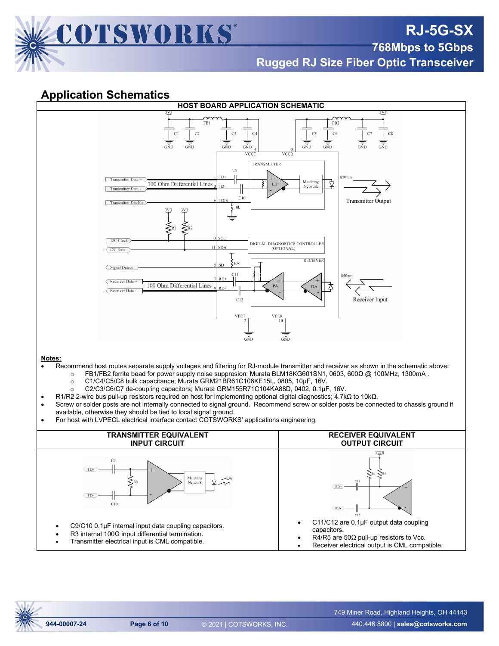

**Rugged RJ Size Fiber Optic Transceiver**

## **Application Schematics**

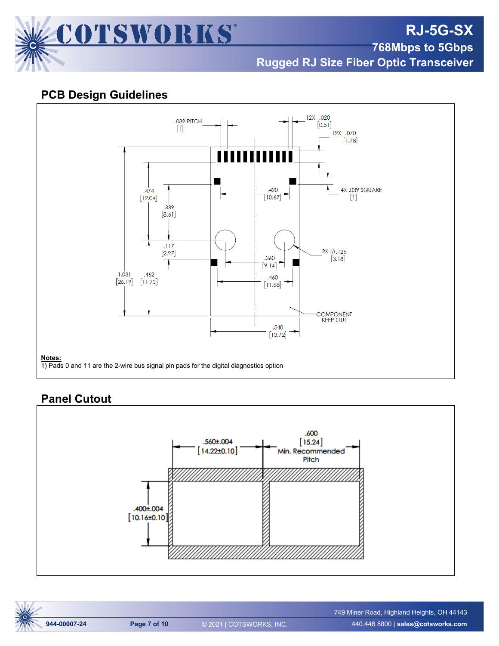

**Rugged RJ Size Fiber Optic Transceiver**

## **PCB Design Guidelines**



## **Panel Cutout**



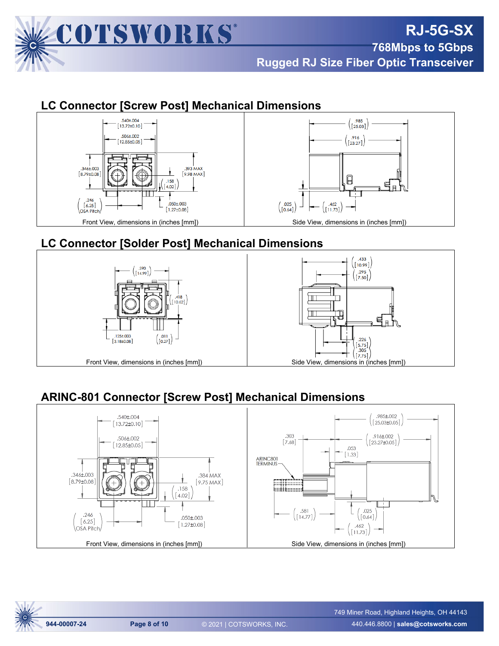

## **LC Connector [Screw Post] Mechanical Dimensions**



## **LC Connector [Solder Post] Mechanical Dimensions**



# **ARINC-801 Connector [Screw Post] Mechanical Dimensions**



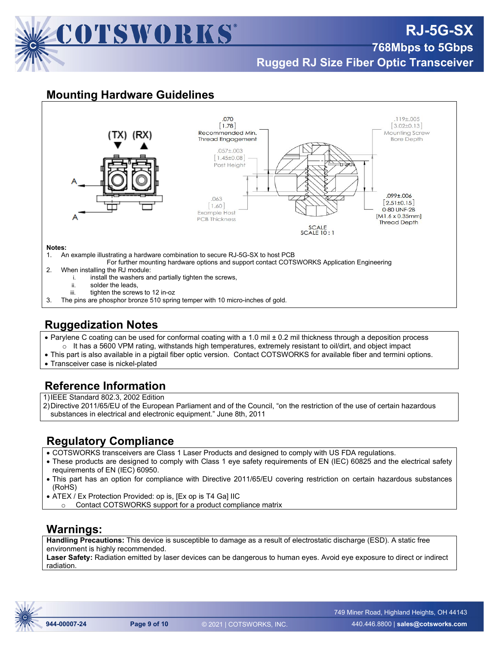

# **RJ-5G-SX**

**768Mbps to 5Gbps** 

**Rugged RJ Size Fiber Optic Transceiver**

## **Mounting Hardware Guidelines**



#### **Notes:**

- 1. An example illustrating a hardware combination to secure RJ-5G-SX to host PCB
- For further mounting hardware options and support contact COTSWORKS Application Engineering 2. When installing the RJ module:
	- i. install the washers and partially tighten the screws,
		- ii. solder the leads
		- iii. tighten the screws to 12 in-oz
- 3. The pins are phosphor bronze 510 spring temper with 10 micro-inches of gold.

## **Ruggedization Notes**

- Parylene C coating can be used for conformal coating with a 1.0 mil ± 0.2 mil thickness through a deposition process  $\circ$  It has a 5600 VPM rating, withstands high temperatures, extremely resistant to oil/dirt, and object impact
- This part is also available in a pigtail fiber optic version. Contact COTSWORKS for available fiber and termini options.
- Transceiver case is nickel-plated

## **Reference Information**

1)IEEE Standard 802.3, 2002 Edition

2)Directive 2011/65/EU of the European Parliament and of the Council, "on the restriction of the use of certain hazardous substances in electrical and electronic equipment." June 8th, 2011

## **Regulatory Compliance**

- COTSWORKS transceivers are Class 1 Laser Products and designed to comply with US FDA regulations.
- These products are designed to comply with Class 1 eye safety requirements of EN (IEC) 60825 and the electrical safety requirements of EN (IEC) 60950.
- This part has an option for compliance with Directive 2011/65/EU covering restriction on certain hazardous substances (RoHS)
- ATEX / Ex Protection Provided: op is, [Ex op is T4 Ga] IIC
- o Contact COTSWORKS support for a product compliance matrix

#### **Warnings:**

**Handling Precautions:** This device is susceptible to damage as a result of electrostatic discharge (ESD). A static free environment is highly recommended.

**Laser Safety:** Radiation emitted by laser devices can be dangerous to human eyes. Avoid eye exposure to direct or indirect radiation.